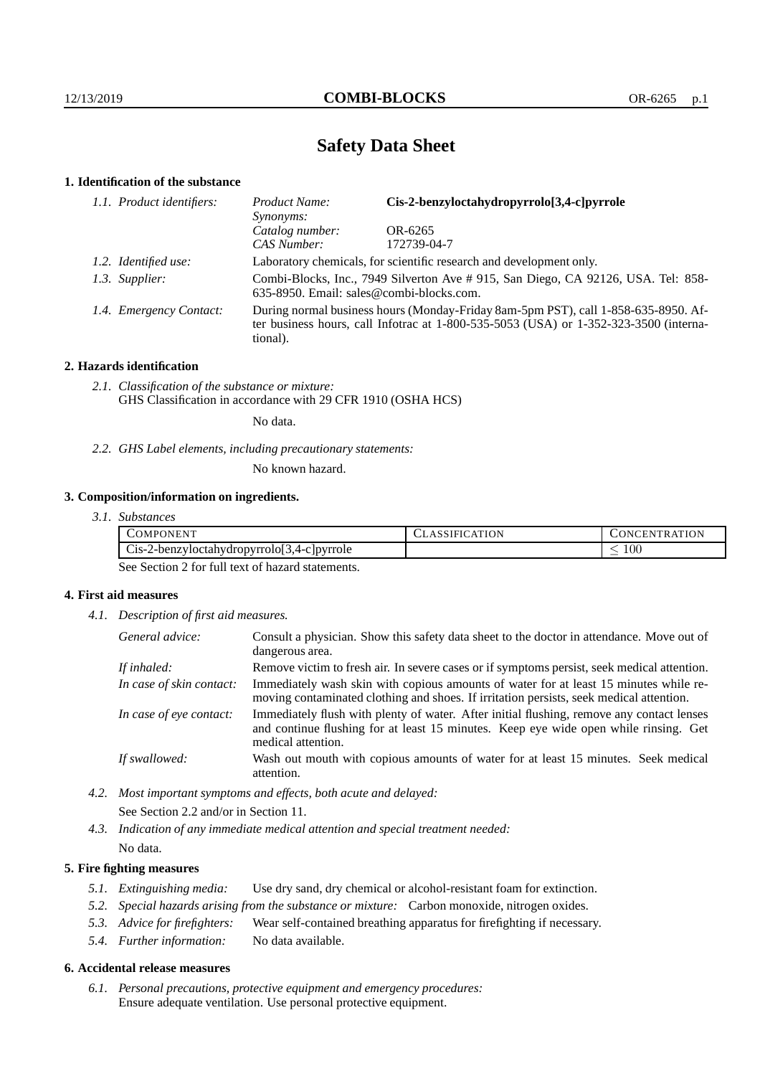# **Safety Data Sheet**

# **1. Identification of the substance**

| 1.1. Product identifiers: | Cis-2-benzyloctahydropyrrolo[3,4-c]pyrrole<br>Product Name:<br><i>Synonyms:</i>                                                                                                         |             |  |
|---------------------------|-----------------------------------------------------------------------------------------------------------------------------------------------------------------------------------------|-------------|--|
|                           | Catalog number:                                                                                                                                                                         | OR-6265     |  |
|                           | <b>CAS Number:</b>                                                                                                                                                                      | 172739-04-7 |  |
| 1.2. Identified use:      | Laboratory chemicals, for scientific research and development only.                                                                                                                     |             |  |
| 1.3. Supplier:            | Combi-Blocks, Inc., 7949 Silverton Ave #915, San Diego, CA 92126, USA. Tel: 858-<br>635-8950. Email: sales@combi-blocks.com.                                                            |             |  |
| 1.4. Emergency Contact:   | During normal business hours (Monday-Friday 8am-5pm PST), call 1-858-635-8950. Af-<br>ter business hours, call Infotrac at 1-800-535-5053 (USA) or 1-352-323-3500 (interna-<br>tional). |             |  |

# **2. Hazards identification**

*2.1. Classification of the substance or mixture:* GHS Classification in accordance with 29 CFR 1910 (OSHA HCS)

No data.

*2.2. GHS Label elements, including precautionary statements:*

No known hazard.

# **3. Composition/information on ingredients.**

| 3.1. Substances |  |
|-----------------|--|
|                 |  |

| .)MPC                                                                                           | <b>ION</b> | ЕN      |
|-------------------------------------------------------------------------------------------------|------------|---------|
| IN FN                                                                                           | $\Delta$   | . .     |
| r.<br>$\sqrt{2}$<br>$-3.4$ -c lovrrole<br>2-benzyloctahydropyrroloj.<br>$\bigcup$ 1S- $\bigcap$ |            | $100\,$ |

See Section 2 for full text of hazard statements.

# **4. First aid measures**

*4.1. Description of first aid measures.*

| General advice:          | Consult a physician. Show this safety data sheet to the doctor in attendance. Move out of<br>dangerous area.                                                                                            |
|--------------------------|---------------------------------------------------------------------------------------------------------------------------------------------------------------------------------------------------------|
| If inhaled:              | Remove victim to fresh air. In severe cases or if symptoms persist, seek medical attention.                                                                                                             |
| In case of skin contact: | Immediately wash skin with copious amounts of water for at least 15 minutes while re-<br>moving contaminated clothing and shoes. If irritation persists, seek medical attention.                        |
| In case of eye contact:  | Immediately flush with plenty of water. After initial flushing, remove any contact lenses<br>and continue flushing for at least 15 minutes. Keep eye wide open while rinsing. Get<br>medical attention. |
| If swallowed:            | Wash out mouth with copious amounts of water for at least 15 minutes. Seek medical<br>attention.                                                                                                        |

*4.2. Most important symptoms and effects, both acute and delayed:* See Section 2.2 and/or in Section 11.

*4.3. Indication of any immediate medical attention and special treatment needed:* No data.

# **5. Fire fighting measures**

- *5.1. Extinguishing media:* Use dry sand, dry chemical or alcohol-resistant foam for extinction.
- *5.2. Special hazards arising from the substance or mixture:* Carbon monoxide, nitrogen oxides.
- *5.3. Advice for firefighters:* Wear self-contained breathing apparatus for firefighting if necessary.
- *5.4. Further information:* No data available.

#### **6. Accidental release measures**

*6.1. Personal precautions, protective equipment and emergency procedures:* Ensure adequate ventilation. Use personal protective equipment.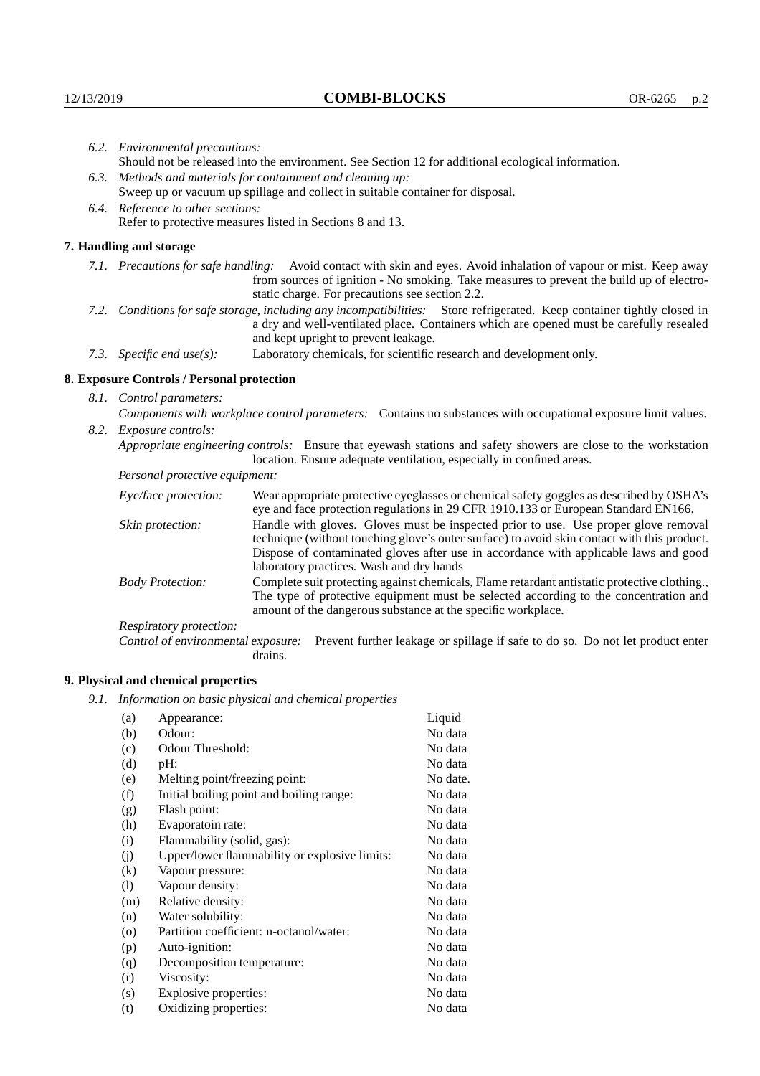| 6.2. Environmental precautions:<br>Should not be released into the environment. See Section 12 for additional ecological information.                                                                                                                      |                                                                                                                                                                                                                                                                    |  |  |
|------------------------------------------------------------------------------------------------------------------------------------------------------------------------------------------------------------------------------------------------------------|--------------------------------------------------------------------------------------------------------------------------------------------------------------------------------------------------------------------------------------------------------------------|--|--|
|                                                                                                                                                                                                                                                            |                                                                                                                                                                                                                                                                    |  |  |
| 6.3. Methods and materials for containment and cleaning up:<br>Sweep up or vacuum up spillage and collect in suitable container for disposal.                                                                                                              |                                                                                                                                                                                                                                                                    |  |  |
|                                                                                                                                                                                                                                                            |                                                                                                                                                                                                                                                                    |  |  |
|                                                                                                                                                                                                                                                            | 6.4. Reference to other sections:<br>Refer to protective measures listed in Sections 8 and 13.                                                                                                                                                                     |  |  |
|                                                                                                                                                                                                                                                            |                                                                                                                                                                                                                                                                    |  |  |
| 7. Handling and storage                                                                                                                                                                                                                                    |                                                                                                                                                                                                                                                                    |  |  |
|                                                                                                                                                                                                                                                            | 7.1. Precautions for safe handling: Avoid contact with skin and eyes. Avoid inhalation of vapour or mist. Keep away<br>from sources of ignition - No smoking. Take measures to prevent the build up of electro-<br>static charge. For precautions see section 2.2. |  |  |
| 7.2. Conditions for safe storage, including any incompatibilities: Store refrigerated. Keep container tightly closed in<br>a dry and well-ventilated place. Containers which are opened must be carefully resealed<br>and kept upright to prevent leakage. |                                                                                                                                                                                                                                                                    |  |  |
| 7.3. Specific end use(s):                                                                                                                                                                                                                                  | Laboratory chemicals, for scientific research and development only.                                                                                                                                                                                                |  |  |
| 8. Exposure Controls / Personal protection                                                                                                                                                                                                                 |                                                                                                                                                                                                                                                                    |  |  |
| 8.1. Control parameters:                                                                                                                                                                                                                                   |                                                                                                                                                                                                                                                                    |  |  |
| Components with workplace control parameters: Contains no substances with occupational exposure limit values.                                                                                                                                              |                                                                                                                                                                                                                                                                    |  |  |
| 8.2. Exposure controls:                                                                                                                                                                                                                                    |                                                                                                                                                                                                                                                                    |  |  |
|                                                                                                                                                                                                                                                            | Appropriate engineering controls: Ensure that eyewash stations and safety showers are close to the workstation<br>location. Ensure adequate ventilation, especially in confined areas.                                                                             |  |  |
| Personal protective equipment:                                                                                                                                                                                                                             |                                                                                                                                                                                                                                                                    |  |  |
| Eye/face protection:                                                                                                                                                                                                                                       | Wear appropriate protective eyeglasses or chemical safety goggles as described by OSHA's<br>eye and face protection regulations in 29 CFR 1910.133 or European Standard EN166.                                                                                     |  |  |
| Skin protection:                                                                                                                                                                                                                                           | Handle with gloves. Gloves must be inspected prior to use. Use proper glove removal<br>technique (without touching glove's outer surface) to avoid skin contact with this product.                                                                                 |  |  |

| Eye/face protection:               | Wear appropriate protective eyeglasses or chemical safety goggles as described by OSHA's<br>eye and face protection regulations in 29 CFR 1910.133 or European Standard EN166.                                                                                                                                         |
|------------------------------------|------------------------------------------------------------------------------------------------------------------------------------------------------------------------------------------------------------------------------------------------------------------------------------------------------------------------|
| Skin protection:                   | Handle with gloves. Gloves must be inspected prior to use. Use proper glove removal<br>technique (without touching glove's outer surface) to avoid skin contact with this product.<br>Dispose of contaminated gloves after use in accordance with applicable laws and good<br>laboratory practices. Wash and dry hands |
| <b>Body Protection:</b>            | Complete suit protecting against chemicals, Flame retardant antistatic protective clothing.,<br>The type of protective equipment must be selected according to the concentration and<br>amount of the dangerous substance at the specific workplace.                                                                   |
| Respiratory protection:            |                                                                                                                                                                                                                                                                                                                        |
| Control of environmental exposure: | Prevent further leakage or spillage if safe to do so. Do not let product enter<br>drains.                                                                                                                                                                                                                              |

# **9. Physical and chemical properties**

*9.1. Information on basic physical and chemical properties*

| (a)     | Appearance:                                   | Liquid   |
|---------|-----------------------------------------------|----------|
| (b)     | Odour:                                        | No data  |
| (c)     | Odour Threshold:                              | No data  |
| (d)     | pH:                                           | No data  |
| (e)     | Melting point/freezing point:                 | No date. |
| (f)     | Initial boiling point and boiling range:      | No data  |
| (g)     | Flash point:                                  | No data  |
| (h)     | Evaporatoin rate:                             | No data  |
| (i)     | Flammability (solid, gas):                    | No data  |
| (i)     | Upper/lower flammability or explosive limits: | No data  |
| (k)     | Vapour pressure:                              | No data  |
| (1)     | Vapour density:                               | No data  |
| (m)     | Relative density:                             | No data  |
| (n)     | Water solubility:                             | No data  |
| $\circ$ | Partition coefficient: n-octanol/water:       | No data  |
| (p)     | Auto-ignition:                                | No data  |
| (q)     | Decomposition temperature:                    | No data  |
| (r)     | Viscosity:                                    | No data  |
| (s)     | Explosive properties:                         | No data  |
| (t)     | Oxidizing properties:                         | No data  |
|         |                                               |          |